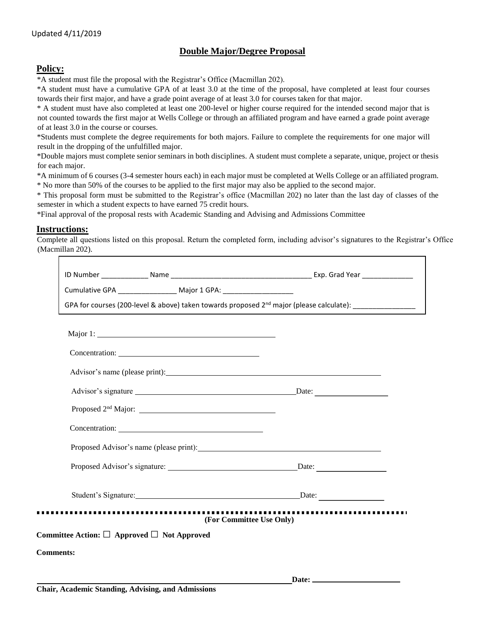## **Double Major/Degree Proposal**

## **Policy:**

\*A student must file the proposal with the Registrar's Office (Macmillan 202).

\*A student must have a cumulative GPA of at least 3.0 at the time of the proposal, have completed at least four courses towards their first major, and have a grade point average of at least 3.0 for courses taken for that major.

\* A student must have also completed at least one 200-level or higher course required for the intended second major that is not counted towards the first major at Wells College or through an affiliated program and have earned a grade point average of at least 3.0 in the course or courses.

\*Students must complete the degree requirements for both majors. Failure to complete the requirements for one major will result in the dropping of the unfulfilled major.

\*Double majors must complete senior seminars in both disciplines. A student must complete a separate, unique, project or thesis for each major.

\*A minimum of 6 courses (3-4 semester hours each) in each major must be completed at Wells College or an affiliated program.

\* No more than 50% of the courses to be applied to the first major may also be applied to the second major.

\* This proposal form must be submitted to the Registrar's office (Macmillan 202) no later than the last day of classes of the semester in which a student expects to have earned 75 credit hours.

\*Final approval of the proposal rests with Academic Standing and Advising and Admissions Committee

## **Instructions:**

Complete all questions listed on this proposal. Return the completed form, including advisor's signatures to the Registrar's Office (Macmillan 202).

| Cumulative GPA ___________________ Major 1 GPA: ________________________________              |                              |
|-----------------------------------------------------------------------------------------------|------------------------------|
| GPA for courses (200-level & above) taken towards proposed $2^{nd}$ major (please calculate): |                              |
|                                                                                               |                              |
| Concentration: 2000 Concentration:                                                            |                              |
| Advisor's name (please print):                                                                |                              |
| Advisor's signature Date:                                                                     |                              |
|                                                                                               |                              |
| Concentration:                                                                                |                              |
|                                                                                               |                              |
|                                                                                               |                              |
| Student's Signature: Date: Date:                                                              |                              |
| ,,,,,,,,,,,,,,,,,,,,,,,,,,,,                                                                  | <br>(For Committee Use Only) |
| Committee Action: $\Box$ Approved $\Box$ Not Approved                                         |                              |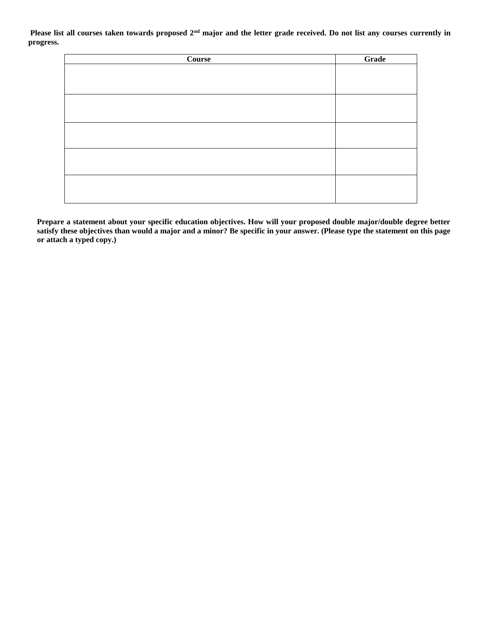**Please list all courses taken towards proposed 2nd major and the letter grade received. Do not list any courses currently in progress.** 

| <b>Course</b> | Grade |
|---------------|-------|
|               |       |
|               |       |
|               |       |
|               |       |
|               |       |
|               |       |
|               |       |
|               |       |
|               |       |
|               |       |
|               |       |
|               |       |
|               |       |
|               |       |

**Prepare a statement about your specific education objectives. How will your proposed double major/double degree better satisfy these objectives than would a major and a minor? Be specific in your answer. (Please type the statement on this page or attach a typed copy.)**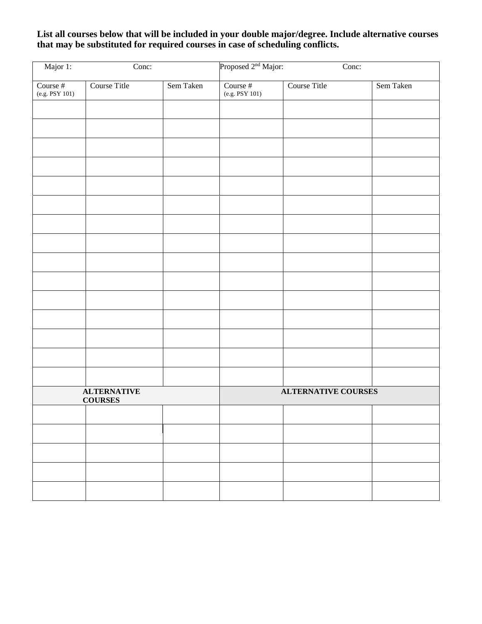**List all courses below that will be included in your double major/degree. Include alternative courses that may be substituted for required courses in case of scheduling conflicts.**

| Major 1:                             | Conc:        |                            | Proposed 2 <sup>nd</sup> Major:<br>Conc: |              |           |
|--------------------------------------|--------------|----------------------------|------------------------------------------|--------------|-----------|
| Course #<br>$(e.g.$ PSY $101)$       | Course Title | Sem Taken                  | Course #<br>$(e.g.$ PSY 101 $)$          | Course Title | Sem Taken |
|                                      |              |                            |                                          |              |           |
|                                      |              |                            |                                          |              |           |
|                                      |              |                            |                                          |              |           |
|                                      |              |                            |                                          |              |           |
|                                      |              |                            |                                          |              |           |
|                                      |              |                            |                                          |              |           |
|                                      |              |                            |                                          |              |           |
|                                      |              |                            |                                          |              |           |
|                                      |              |                            |                                          |              |           |
|                                      |              |                            |                                          |              |           |
|                                      |              |                            |                                          |              |           |
|                                      |              |                            |                                          |              |           |
|                                      |              |                            |                                          |              |           |
|                                      |              |                            |                                          |              |           |
|                                      |              |                            |                                          |              |           |
| <b>ALTERNATIVE</b><br><b>COURSES</b> |              | <b>ALTERNATIVE COURSES</b> |                                          |              |           |
|                                      |              |                            |                                          |              |           |
|                                      |              |                            |                                          |              |           |
|                                      |              |                            |                                          |              |           |
|                                      |              |                            |                                          |              |           |
|                                      |              |                            |                                          |              |           |